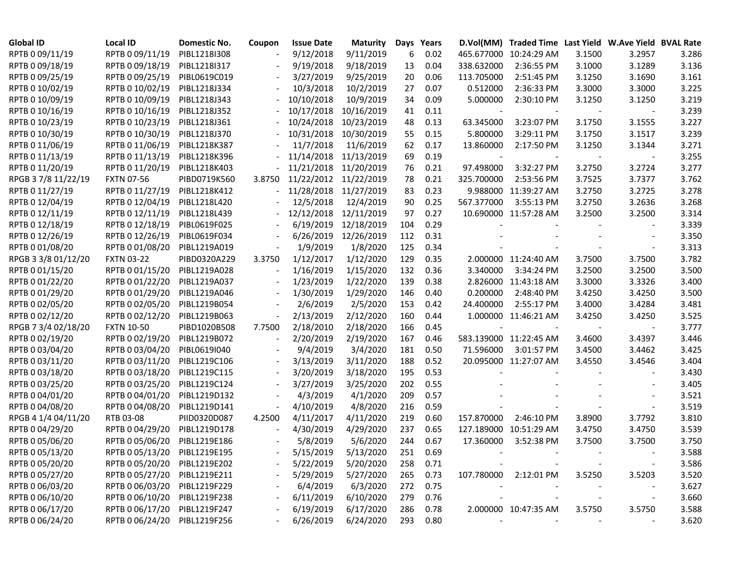| <b>Global ID</b>    | <b>Local ID</b>              | Domestic No. | Coupon | <b>Issue Date</b> | <b>Maturity</b> |     | Days Years |            | D.Vol(MM) Traded Time Last Yield W.Ave Yield BVAL Rate |        |        |       |
|---------------------|------------------------------|--------------|--------|-------------------|-----------------|-----|------------|------------|--------------------------------------------------------|--------|--------|-------|
| RPTB 0 09/11/19     | RPTB 0 09/11/19              | PIBL1218I308 |        | 9/12/2018         | 9/11/2019       | 6   | 0.02       |            | 465.677000 10:24:29 AM                                 | 3.1500 | 3.2957 | 3.286 |
| RPTB 0 09/18/19     | RPTB 0 09/18/19              | PIBL1218I317 |        | 9/19/2018         | 9/18/2019       | 13  | 0.04       | 338.632000 | 2:36:55 PM                                             | 3.1000 | 3.1289 | 3.136 |
| RPTB 0 09/25/19     | RPTB 0 09/25/19              | PIBL0619C019 |        | 3/27/2019         | 9/25/2019       | 20  | 0.06       | 113.705000 | 2:51:45 PM                                             | 3.1250 | 3.1690 | 3.161 |
| RPTB 0 10/02/19     | RPTB 0 10/02/19              | PIBL1218J334 |        | 10/3/2018         | 10/2/2019       | 27  | 0.07       | 0.512000   | 2:36:33 PM                                             | 3.3000 | 3.3000 | 3.225 |
| RPTB 0 10/09/19     | RPTB 0 10/09/19              | PIBL1218J343 |        | 10/10/2018        | 10/9/2019       | 34  | 0.09       | 5.000000   | 2:30:10 PM                                             | 3.1250 | 3.1250 | 3.219 |
| RPTB 0 10/16/19     | RPTB 0 10/16/19              | PIBL1218J352 |        | 10/17/2018        | 10/16/2019      | 41  | 0.11       |            |                                                        |        |        | 3.239 |
| RPTB 0 10/23/19     | RPTB 0 10/23/19              | PIBL1218J361 |        | 10/24/2018        | 10/23/2019      | 48  | 0.13       | 63.345000  | 3:23:07 PM                                             | 3.1750 | 3.1555 | 3.227 |
| RPTB 0 10/30/19     | RPTB 0 10/30/19              | PIBL1218J370 |        | 10/31/2018        | 10/30/2019      | 55  | 0.15       | 5.800000   | 3:29:11 PM                                             | 3.1750 | 3.1517 | 3.239 |
| RPTB 0 11/06/19     | RPTB 0 11/06/19              | PIBL1218K387 |        | 11/7/2018         | 11/6/2019       | 62  | 0.17       | 13.860000  | 2:17:50 PM                                             | 3.1250 | 3.1344 | 3.271 |
| RPTB 0 11/13/19     | RPTB 0 11/13/19              | PIBL1218K396 |        | 11/14/2018        | 11/13/2019      | 69  | 0.19       |            |                                                        |        |        | 3.255 |
| RPTB 0 11/20/19     | RPTB 0 11/20/19              | PIBL1218K403 |        | 11/21/2018        | 11/20/2019      | 76  | 0.21       | 97.498000  | 3:32:27 PM                                             | 3.2750 | 3.2724 | 3.277 |
| RPGB 37/8 11/22/19  | <b>FXTN 07-56</b>            | PIBD0719K560 | 3.8750 | 11/22/2012        | 11/22/2019      | 78  | 0.21       | 325.700000 | 2:53:56 PM                                             | 3.7525 | 3.7377 | 3.762 |
| RPTB 0 11/27/19     | RPTB 0 11/27/19              | PIBL1218K412 | $\sim$ | 11/28/2018        | 11/27/2019      | 83  | 0.23       |            | 9.988000 11:39:27 AM                                   | 3.2750 | 3.2725 | 3.278 |
| RPTB 0 12/04/19     | RPTB 0 12/04/19              | PIBL1218L420 |        | 12/5/2018         | 12/4/2019       | 90  | 0.25       | 567.377000 | 3:55:13 PM                                             | 3.2750 | 3.2636 | 3.268 |
| RPTB 0 12/11/19     | RPTB 0 12/11/19              | PIBL1218L439 |        | 12/12/2018        | 12/11/2019      | 97  | 0.27       |            | 10.690000 11:57:28 AM                                  | 3.2500 | 3.2500 | 3.314 |
| RPTB 0 12/18/19     | RPTB 0 12/18/19              | PIBL0619F025 |        | 6/19/2019         | 12/18/2019      | 104 | 0.29       |            |                                                        |        |        | 3.339 |
| RPTB 0 12/26/19     | RPTB 0 12/26/19              | PIBL0619F034 |        | 6/26/2019         | 12/26/2019      | 112 | 0.31       |            |                                                        |        |        | 3.350 |
| RPTB 0 01/08/20     | RPTB 0 01/08/20              | PIBL1219A019 |        | 1/9/2019          | 1/8/2020        | 125 | 0.34       |            |                                                        |        |        | 3.313 |
| RPGB 3 3/8 01/12/20 | <b>FXTN 03-22</b>            | PIBD0320A229 | 3.3750 | 1/12/2017         | 1/12/2020       | 129 | 0.35       |            | 2.000000 11:24:40 AM                                   | 3.7500 | 3.7500 | 3.782 |
| RPTB 0 01/15/20     | RPTB 0 01/15/20              | PIBL1219A028 |        | 1/16/2019         | 1/15/2020       | 132 | 0.36       | 3.340000   | 3:34:24 PM                                             | 3.2500 | 3.2500 | 3.500 |
| RPTB 0 01/22/20     | RPTB 0 01/22/20              | PIBL1219A037 |        | 1/23/2019         | 1/22/2020       | 139 | 0.38       |            | 2.826000 11:43:18 AM                                   | 3.3000 | 3.3326 | 3.400 |
| RPTB 0 01/29/20     | RPTB 0 01/29/20              | PIBL1219A046 |        | 1/30/2019         | 1/29/2020       | 146 | 0.40       | 0.200000   | 2:48:40 PM                                             | 3.4250 | 3.4250 | 3.500 |
| RPTB 0 02/05/20     | RPTB 0 02/05/20              | PIBL1219B054 |        | 2/6/2019          | 2/5/2020        | 153 | 0.42       | 24.400000  | 2:55:17 PM                                             | 3.4000 | 3.4284 | 3.481 |
| RPTB 0 02/12/20     | RPTB 0 02/12/20              | PIBL1219B063 |        | 2/13/2019         | 2/12/2020       | 160 | 0.44       |            | 1.000000 11:46:21 AM                                   | 3.4250 | 3.4250 | 3.525 |
| RPGB 7 3/4 02/18/20 | <b>FXTN 10-50</b>            | PIBD1020B508 | 7.7500 | 2/18/2010         | 2/18/2020       | 166 | 0.45       |            |                                                        |        |        | 3.777 |
| RPTB 0 02/19/20     | RPTB 0 02/19/20              | PIBL1219B072 |        | 2/20/2019         | 2/19/2020       | 167 | 0.46       |            | 583.139000 11:22:45 AM                                 | 3.4600 | 3.4397 | 3.446 |
| RPTB 0 03/04/20     | RPTB 0 03/04/20              | PIBL0619I040 |        | 9/4/2019          | 3/4/2020        | 181 | 0.50       | 71.596000  | 3:01:57 PM                                             | 3.4500 | 3.4462 | 3.425 |
| RPTB 0 03/11/20     | RPTB 0 03/11/20              | PIBL1219C106 |        | 3/13/2019         | 3/11/2020       | 188 | 0.52       |            | 20.095000 11:27:07 AM                                  | 3.4550 | 3.4546 | 3.404 |
| RPTB 0 03/18/20     | RPTB 0 03/18/20              | PIBL1219C115 |        | 3/20/2019         | 3/18/2020       | 195 | 0.53       |            |                                                        |        |        | 3.430 |
| RPTB 0 03/25/20     | RPTB 0 03/25/20              | PIBL1219C124 |        | 3/27/2019         | 3/25/2020       | 202 | 0.55       |            |                                                        |        |        | 3.405 |
| RPTB 0 04/01/20     | RPTB 0 04/01/20              | PIBL1219D132 |        | 4/3/2019          | 4/1/2020        | 209 | 0.57       |            |                                                        |        |        | 3.521 |
| RPTB 0 04/08/20     | RPTB 0 04/08/20              | PIBL1219D141 |        | 4/10/2019         | 4/8/2020        | 216 | 0.59       |            |                                                        |        |        | 3.519 |
| RPGB 4 1/4 04/11/20 | RTB 03-08                    | PIID0320D087 | 4.2500 | 4/11/2017         | 4/11/2020       | 219 | 0.60       | 157.870000 | 2:46:10 PM                                             | 3.8900 | 3.7792 | 3.810 |
| RPTB 0 04/29/20     | RPTB 0 04/29/20              | PIBL1219D178 |        | 4/30/2019         | 4/29/2020       | 237 | 0.65       |            | 127.189000 10:51:29 AM                                 | 3.4750 | 3.4750 | 3.539 |
| RPTB 0 05/06/20     | RPTB 0 05/06/20              | PIBL1219E186 |        | 5/8/2019          | 5/6/2020        | 244 | 0.67       | 17.360000  | 3:52:38 PM                                             | 3.7500 | 3.7500 | 3.750 |
| RPTB 0 05/13/20     | RPTB 0 05/13/20 PIBL1219E195 |              |        | 5/15/2019         | 5/13/2020       | 251 | 0.69       |            |                                                        |        |        | 3.588 |
| RPTB 0 05/20/20     | RPTB 0 05/20/20 PIBL1219E202 |              |        | 5/22/2019         | 5/20/2020       | 258 | 0.71       |            |                                                        |        |        | 3.586 |
| RPTB 0 05/27/20     | RPTB 0 05/27/20 PIBL1219E211 |              |        | 5/29/2019         | 5/27/2020       | 265 | 0.73       |            | 107.780000 2:12:01 PM                                  | 3.5250 | 3.5203 | 3.520 |
| RPTB 0 06/03/20     | RPTB 0 06/03/20 PIBL1219F229 |              |        | 6/4/2019          | 6/3/2020        | 272 | 0.75       |            |                                                        |        |        | 3.627 |
| RPTB 0 06/10/20     | RPTB 0 06/10/20 PIBL1219F238 |              |        | 6/11/2019         | 6/10/2020       | 279 | 0.76       |            |                                                        |        |        | 3.660 |
| RPTB 0 06/17/20     | RPTB 0 06/17/20 PIBL1219F247 |              |        | 6/19/2019         | 6/17/2020       | 286 | 0.78       |            | 2.000000 10:47:35 AM                                   | 3.5750 | 3.5750 | 3.588 |
| RPTB 0 06/24/20     | RPTB 0 06/24/20 PIBL1219F256 |              |        | 6/26/2019         | 6/24/2020       | 293 | 0.80       |            |                                                        |        |        | 3.620 |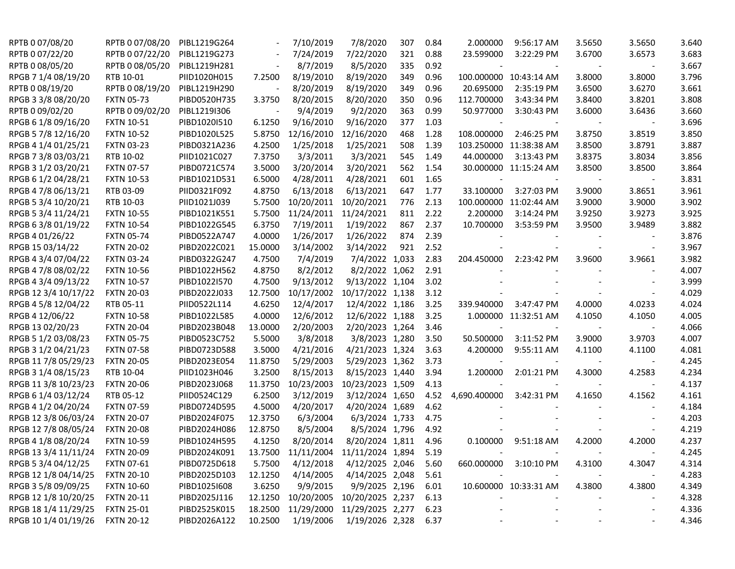| RPTB 0 07/08/20      | RPTB 0 07/08/20   | PIBL1219G264 |         | 7/10/2019  | 7/8/2020         | 307 | 0.84 | 2.000000       | 9:56:17 AM             | 3.5650 | 3.5650                   | 3.640 |
|----------------------|-------------------|--------------|---------|------------|------------------|-----|------|----------------|------------------------|--------|--------------------------|-------|
| RPTB 0 07/22/20      | RPTB 0 07/22/20   | PIBL1219G273 |         | 7/24/2019  | 7/22/2020        | 321 | 0.88 | 23.599000      | 3:22:29 PM             | 3.6700 | 3.6573                   | 3.683 |
| RPTB 0 08/05/20      | RPTB 0 08/05/20   | PIBL1219H281 |         | 8/7/2019   | 8/5/2020         | 335 | 0.92 | $\blacksquare$ |                        |        |                          | 3.667 |
| RPGB 7 1/4 08/19/20  | RTB 10-01         | PIID1020H015 | 7.2500  | 8/19/2010  | 8/19/2020        | 349 | 0.96 |                | 100.000000 10:43:14 AM | 3.8000 | 3.8000                   | 3.796 |
| RPTB 0 08/19/20      | RPTB 0 08/19/20   | PIBL1219H290 |         | 8/20/2019  | 8/19/2020        | 349 | 0.96 | 20.695000      | 2:35:19 PM             | 3.6500 | 3.6270                   | 3.661 |
| RPGB 3 3/8 08/20/20  | <b>FXTN 05-73</b> | PIBD0520H735 | 3.3750  | 8/20/2015  | 8/20/2020        | 350 | 0.96 | 112.700000     | 3:43:34 PM             | 3.8400 | 3.8201                   | 3.808 |
| RPTB 0 09/02/20      | RPTB 0 09/02/20   | PIBL1219I306 |         | 9/4/2019   | 9/2/2020         | 363 | 0.99 | 50.977000      | 3:30:43 PM             | 3.6000 | 3.6436                   | 3.660 |
| RPGB 6 1/8 09/16/20  | <b>FXTN 10-51</b> | PIBD1020I510 | 6.1250  | 9/16/2010  | 9/16/2020        | 377 | 1.03 |                |                        |        |                          | 3.696 |
| RPGB 5 7/8 12/16/20  | <b>FXTN 10-52</b> | PIBD1020L525 | 5.8750  | 12/16/2010 | 12/16/2020       | 468 | 1.28 | 108.000000     | 2:46:25 PM             | 3.8750 | 3.8519                   | 3.850 |
| RPGB 4 1/4 01/25/21  | <b>FXTN 03-23</b> | PIBD0321A236 | 4.2500  | 1/25/2018  | 1/25/2021        | 508 | 1.39 |                | 103.250000 11:38:38 AM | 3.8500 | 3.8791                   | 3.887 |
| RPGB 7 3/8 03/03/21  | RTB 10-02         | PIID1021C027 | 7.3750  | 3/3/2011   | 3/3/2021         | 545 | 1.49 | 44.000000      | 3:13:43 PM             | 3.8375 | 3.8034                   | 3.856 |
| RPGB 3 1/2 03/20/21  | <b>FXTN 07-57</b> | PIBD0721C574 | 3.5000  | 3/20/2014  | 3/20/2021        | 562 | 1.54 |                | 30.000000 11:15:24 AM  | 3.8500 | 3.8500                   | 3.864 |
| RPGB 6 1/2 04/28/21  | <b>FXTN 10-53</b> | PIBD1021D531 | 6.5000  | 4/28/2011  | 4/28/2021        | 601 | 1.65 |                |                        |        | $\blacksquare$           | 3.831 |
| RPGB 4 7/8 06/13/21  | RTB 03-09         | PIID0321F092 | 4.8750  | 6/13/2018  | 6/13/2021        | 647 | 1.77 | 33.100000      | 3:27:03 PM             | 3.9000 | 3.8651                   | 3.961 |
| RPGB 5 3/4 10/20/21  | RTB 10-03         | PIID1021J039 | 5.7500  | 10/20/2011 | 10/20/2021       | 776 | 2.13 |                | 100.000000 11:02:44 AM | 3.9000 | 3.9000                   | 3.902 |
| RPGB 5 3/4 11/24/21  | <b>FXTN 10-55</b> | PIBD1021K551 | 5.7500  | 11/24/2011 | 11/24/2021       | 811 | 2.22 | 2.200000       | 3:14:24 PM             | 3.9250 | 3.9273                   | 3.925 |
| RPGB 63/8 01/19/22   | <b>FXTN 10-54</b> | PIBD1022G545 | 6.3750  | 7/19/2011  | 1/19/2022        | 867 | 2.37 | 10.700000      | 3:53:59 PM             | 3.9500 | 3.9489                   | 3.882 |
| RPGB 4 01/26/22      | <b>FXTN 05-74</b> | PIBD0522A747 | 4.0000  | 1/26/2017  | 1/26/2022        | 874 | 2.39 |                |                        |        |                          | 3.876 |
| RPGB 15 03/14/22     | <b>FXTN 20-02</b> | PIBD2022C021 | 15.0000 | 3/14/2002  | 3/14/2022        | 921 | 2.52 |                |                        |        | $\overline{\phantom{a}}$ | 3.967 |
| RPGB 4 3/4 07/04/22  | <b>FXTN 03-24</b> | PIBD0322G247 | 4.7500  | 7/4/2019   | 7/4/2022 1,033   |     | 2.83 | 204.450000     | 2:23:42 PM             | 3.9600 | 3.9661                   | 3.982 |
| RPGB 4 7/8 08/02/22  | <b>FXTN 10-56</b> | PIBD1022H562 | 4.8750  | 8/2/2012   | 8/2/2022 1,062   |     | 2.91 |                |                        |        |                          | 4.007 |
| RPGB 4 3/4 09/13/22  | <b>FXTN 10-57</b> | PIBD1022I570 | 4.7500  | 9/13/2012  | 9/13/2022 1,104  |     | 3.02 |                |                        |        |                          | 3.999 |
| RPGB 12 3/4 10/17/22 | <b>FXTN 20-03</b> | PIBD2022J033 | 12.7500 | 10/17/2002 | 10/17/2022 1,138 |     | 3.12 |                |                        |        |                          | 4.029 |
| RPGB 4 5/8 12/04/22  | RTB 05-11         | PIID0522L114 | 4.6250  | 12/4/2017  | 12/4/2022 1,186  |     | 3.25 | 339.940000     | 3:47:47 PM             | 4.0000 | 4.0233                   | 4.024 |
| RPGB 4 12/06/22      | <b>FXTN 10-58</b> | PIBD1022L585 | 4.0000  | 12/6/2012  | 12/6/2022 1,188  |     | 3.25 |                | 1.000000 11:32:51 AM   | 4.1050 | 4.1050                   | 4.005 |
| RPGB 13 02/20/23     | <b>FXTN 20-04</b> | PIBD2023B048 | 13.0000 | 2/20/2003  | 2/20/2023 1,264  |     | 3.46 | $\blacksquare$ |                        |        | $\overline{\phantom{a}}$ | 4.066 |
| RPGB 5 1/2 03/08/23  | <b>FXTN 05-75</b> | PIBD0523C752 | 5.5000  | 3/8/2018   | 3/8/2023 1,280   |     | 3.50 | 50.500000      | 3:11:52 PM             | 3.9000 | 3.9703                   | 4.007 |
| RPGB 3 1/2 04/21/23  | <b>FXTN 07-58</b> | PIBD0723D588 | 3.5000  | 4/21/2016  | 4/21/2023 1,324  |     | 3.63 | 4.200000       | 9:55:11 AM             | 4.1100 | 4.1100                   | 4.081 |
| RPGB 11 7/8 05/29/23 | <b>FXTN 20-05</b> | PIBD2023E054 | 11.8750 | 5/29/2003  | 5/29/2023 1,362  |     | 3.73 |                |                        |        |                          | 4.245 |
| RPGB 3 1/4 08/15/23  | RTB 10-04         | PIID1023H046 | 3.2500  | 8/15/2013  | 8/15/2023 1,440  |     | 3.94 | 1.200000       | 2:01:21 PM             | 4.3000 | 4.2583                   | 4.234 |
| RPGB 11 3/8 10/23/23 | <b>FXTN 20-06</b> | PIBD2023J068 | 11.3750 | 10/23/2003 | 10/23/2023 1,509 |     | 4.13 |                |                        |        |                          | 4.137 |
| RPGB 6 1/4 03/12/24  | RTB 05-12         | PIID0524C129 | 6.2500  | 3/12/2019  | 3/12/2024 1,650  |     | 4.52 | 4,690.400000   | 3:42:31 PM             | 4.1650 | 4.1562                   | 4.161 |
| RPGB 4 1/2 04/20/24  | <b>FXTN 07-59</b> | PIBD0724D595 | 4.5000  | 4/20/2017  | 4/20/2024 1,689  |     | 4.62 |                |                        |        |                          | 4.184 |
| RPGB 12 3/8 06/03/24 | <b>FXTN 20-07</b> | PIBD2024F075 | 12.3750 | 6/3/2004   | 6/3/2024 1,733   |     | 4.75 |                |                        |        |                          | 4.203 |
| RPGB 12 7/8 08/05/24 | <b>FXTN 20-08</b> | PIBD2024H086 | 12.8750 | 8/5/2004   | 8/5/2024 1,796   |     | 4.92 |                |                        |        |                          | 4.219 |
| RPGB 4 1/8 08/20/24  | <b>FXTN 10-59</b> | PIBD1024H595 | 4.1250  | 8/20/2014  | 8/20/2024 1,811  |     | 4.96 | 0.100000       | 9:51:18 AM             | 4.2000 | 4.2000                   | 4.237 |
| RPGB 13 3/4 11/11/24 | <b>FXTN 20-09</b> | PIBD2024K091 | 13.7500 | 11/11/2004 | 11/11/2024 1,894 |     | 5.19 |                |                        |        |                          | 4.245 |
| RPGB 5 3/4 04/12/25  | <b>FXTN 07-61</b> | PIBD0725D618 | 5.7500  | 4/12/2018  | 4/12/2025 2,046  |     | 5.60 |                | 660.000000 3:10:10 PM  | 4.3100 | 4.3047                   | 4.314 |
| RPGB 12 1/8 04/14/25 | <b>FXTN 20-10</b> | PIBD2025D103 | 12.1250 | 4/14/2005  | 4/14/2025 2,048  |     | 5.61 |                |                        |        |                          | 4.283 |
| RPGB 3 5/8 09/09/25  | <b>FXTN 10-60</b> | PIBD10251608 | 3.6250  | 9/9/2015   | 9/9/2025 2,196   |     | 6.01 |                | 10.600000 10:33:31 AM  | 4.3800 | 4.3800                   | 4.349 |
| RPGB 12 1/8 10/20/25 | <b>FXTN 20-11</b> | PIBD2025J116 | 12.1250 | 10/20/2005 | 10/20/2025 2,237 |     | 6.13 |                |                        |        |                          | 4.328 |
| RPGB 18 1/4 11/29/25 | <b>FXTN 25-01</b> | PIBD2525K015 | 18.2500 | 11/29/2000 | 11/29/2025 2,277 |     | 6.23 |                |                        |        |                          | 4.336 |
| RPGB 10 1/4 01/19/26 | <b>FXTN 20-12</b> | PIBD2026A122 | 10.2500 | 1/19/2006  | 1/19/2026 2,328  |     | 6.37 |                |                        |        |                          | 4.346 |